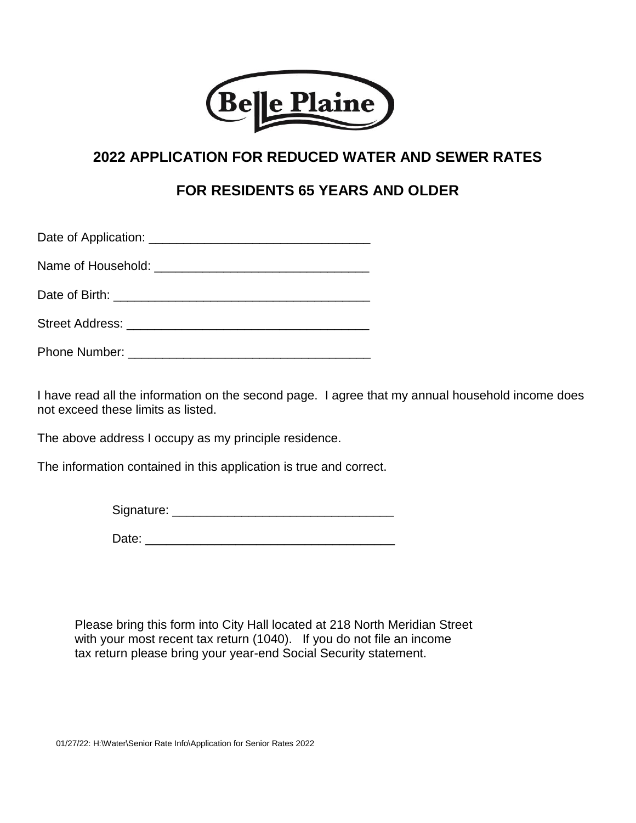

## **2022 APPLICATION FOR REDUCED WATER AND SEWER RATES**

## **FOR RESIDENTS 65 YEARS AND OLDER**

Date of Application: \_\_\_\_\_\_\_\_\_\_\_\_\_\_\_\_\_\_\_\_\_\_\_\_\_\_\_\_\_\_\_\_

Name of Household: \_\_\_\_\_\_\_\_\_\_\_\_\_\_\_\_\_\_\_\_\_\_\_\_\_\_\_\_\_\_\_

Date of Birth: \_\_\_\_\_\_\_\_\_\_\_\_\_\_\_\_\_\_\_\_\_\_\_\_\_\_\_\_\_\_\_\_\_\_\_\_\_

Street Address: \_\_\_\_\_\_\_\_\_\_\_\_\_\_\_\_\_\_\_\_\_\_\_\_\_\_\_\_\_\_\_\_\_\_\_

Phone Number: \_\_\_\_\_\_\_\_\_\_\_\_\_\_\_\_\_\_\_\_\_\_\_\_\_\_\_\_\_\_\_\_\_\_\_

I have read all the information on the second page. I agree that my annual household income does not exceed these limits as listed.

The above address I occupy as my principle residence.

The information contained in this application is true and correct.

| Signature: |  |  |  |
|------------|--|--|--|
|            |  |  |  |
|            |  |  |  |

Date: \_\_\_\_\_\_\_\_\_\_\_\_\_\_\_\_\_\_\_\_\_\_\_\_\_\_\_\_\_\_\_\_\_\_\_\_

Please bring this form into City Hall located at 218 North Meridian Street with your most recent tax return (1040). If you do not file an income tax return please bring your year-end Social Security statement.